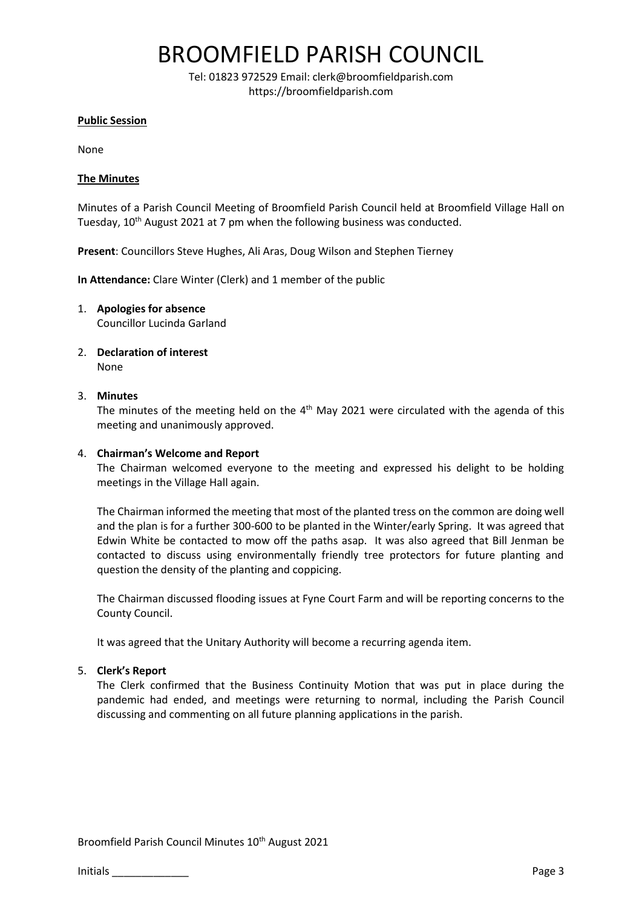## BROOMFIELD PARISH COUNCIL

Tel: 01823 972529 Email: clerk@broomfieldparish.com https://broomfieldparish.com

#### **Public Session**

None

### **The Minutes**

Minutes of a Parish Council Meeting of Broomfield Parish Council held at Broomfield Village Hall on Tuesday, 10th August 2021 at 7 pm when the following business was conducted.

**Present**: Councillors Steve Hughes, Ali Aras, Doug Wilson and Stephen Tierney

**In Attendance:** Clare Winter (Clerk) and 1 member of the public

- 1. **Apologies for absence** Councillor Lucinda Garland
- 2. **Declaration of interest** None

## 3. **Minutes**

The minutes of the meeting held on the  $4<sup>th</sup>$  May 2021 were circulated with the agenda of this meeting and unanimously approved.

#### 4. **Chairman's Welcome and Report**

The Chairman welcomed everyone to the meeting and expressed his delight to be holding meetings in the Village Hall again.

The Chairman informed the meeting that most of the planted tress on the common are doing well and the plan is for a further 300-600 to be planted in the Winter/early Spring. It was agreed that Edwin White be contacted to mow off the paths asap. It was also agreed that Bill Jenman be contacted to discuss using environmentally friendly tree protectors for future planting and question the density of the planting and coppicing.

The Chairman discussed flooding issues at Fyne Court Farm and will be reporting concerns to the County Council.

It was agreed that the Unitary Authority will become a recurring agenda item.

#### 5. **Clerk's Report**

The Clerk confirmed that the Business Continuity Motion that was put in place during the pandemic had ended, and meetings were returning to normal, including the Parish Council discussing and commenting on all future planning applications in the parish.

Broomfield Parish Council Minutes 10<sup>th</sup> August 2021